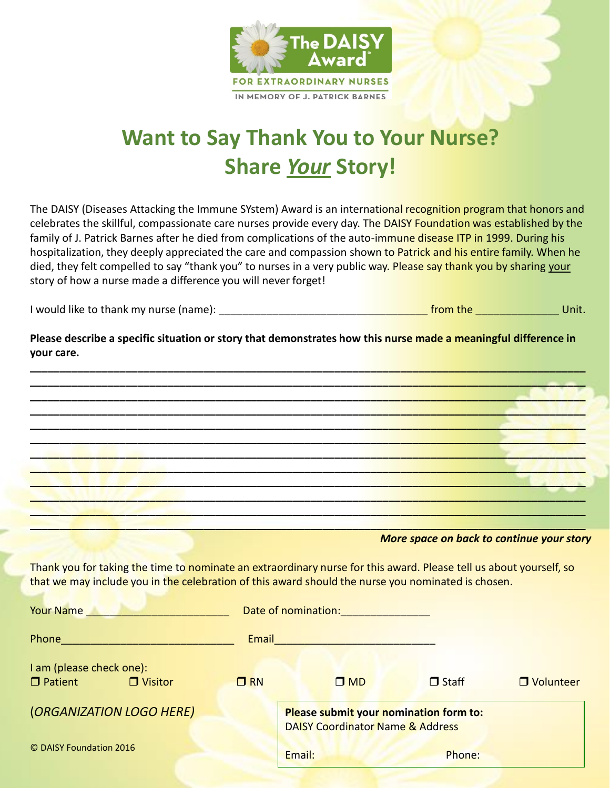

## **Want to Say Thank You to Your Nurse? Share** *Your* **Story!**

The DAISY (Diseases Attacking the Immune SYstem) Award is an international recognition program that honors and celebrates the skillful, compassionate care nurses provide every day. The DAISY Foundation was established by the family of J. Patrick Barnes after he died from complications of the auto-immune disease ITP in 1999. During his hospitalization, they deeply appreciated the care and compassion shown to Patrick and his entire family. When he died, they felt compelled to say "thank you" to nurses in a very public way. Please say thank you by sharing your story of how a nurse made a difference you will never forget!

| I would like to thank my nurse (name): | from the | Jnit. |
|----------------------------------------|----------|-------|
|----------------------------------------|----------|-------|

**Please describe a specific situation or story that demonstrates how this nurse made a meaningful difference in your care.** 

**\_\_\_\_\_\_\_\_\_\_\_\_\_\_\_\_\_\_\_\_\_\_\_\_\_\_\_\_\_\_\_\_\_\_\_\_\_\_\_\_\_\_\_\_\_\_\_\_\_\_\_\_\_\_\_\_\_\_\_\_\_\_\_\_\_\_\_\_\_\_\_\_\_\_\_\_\_\_\_\_\_\_\_\_\_\_\_\_\_\_\_\_\_ \_\_\_\_\_\_\_\_\_\_\_\_\_\_\_\_\_\_\_\_\_\_\_\_\_\_\_\_\_\_\_\_\_\_\_\_\_\_\_\_\_\_\_\_\_\_\_\_\_\_\_\_\_\_\_\_\_\_\_\_\_\_\_\_\_\_\_\_\_\_\_\_\_\_\_\_\_\_\_\_\_\_\_\_\_\_\_\_\_\_\_\_\_ \_\_\_\_\_\_\_\_\_\_\_\_\_\_\_\_\_\_\_\_\_\_\_\_\_\_\_\_\_\_\_\_\_\_\_\_\_\_\_\_\_\_\_\_\_\_\_\_\_\_\_\_\_\_\_\_\_\_\_\_\_\_\_\_\_\_\_\_\_\_\_\_\_\_\_\_\_\_\_\_\_\_\_\_\_\_\_\_\_\_\_\_\_ \_\_\_\_\_\_\_\_\_\_\_\_\_\_\_\_\_\_\_\_\_\_\_\_\_\_\_\_\_\_\_\_\_\_\_\_\_\_\_\_\_\_\_\_\_\_\_\_\_\_\_\_\_\_\_\_\_\_\_\_\_\_\_\_\_\_\_\_\_\_\_\_\_\_\_\_\_\_\_\_\_\_\_\_\_\_\_\_\_\_\_\_\_ \_\_\_\_\_\_\_\_\_\_\_\_\_\_\_\_\_\_\_\_\_\_\_\_\_\_\_\_\_\_\_\_\_\_\_\_\_\_\_\_\_\_\_\_\_\_\_\_\_\_\_\_\_\_\_\_\_\_\_\_\_\_\_\_\_\_\_\_\_\_\_\_\_\_\_\_\_\_\_\_\_\_\_\_\_\_\_\_\_\_\_\_\_ \_\_\_\_\_\_\_\_\_\_\_\_\_\_\_\_\_\_\_\_\_\_\_\_\_\_\_\_\_\_\_\_\_\_\_\_\_\_\_\_\_\_\_\_\_\_\_\_\_\_\_\_\_\_\_\_\_\_\_\_\_\_\_\_\_\_\_\_\_\_\_\_\_\_\_\_\_\_\_\_\_\_\_\_\_\_\_\_\_\_\_\_\_ \_\_\_\_\_\_\_\_\_\_\_\_\_\_\_\_\_\_\_\_\_\_\_\_\_\_\_\_\_\_\_\_\_\_\_\_\_\_\_\_\_\_\_\_\_\_\_\_\_\_\_\_\_\_\_\_\_\_\_\_\_\_\_\_\_\_\_\_\_\_\_\_\_\_\_\_\_\_\_\_\_\_\_\_\_\_\_\_\_\_\_\_\_ \_\_\_\_\_\_\_\_\_\_\_\_\_\_\_\_\_\_\_\_\_\_\_\_\_\_\_\_\_\_\_\_\_\_\_\_\_\_\_\_\_\_\_\_\_\_\_\_\_\_\_\_\_\_\_\_\_\_\_\_\_\_\_\_\_\_\_\_\_\_\_\_\_\_\_\_\_\_\_\_\_\_\_\_\_\_\_\_\_\_\_\_\_ \_\_\_\_\_\_\_\_\_\_\_\_\_\_\_\_\_\_\_\_\_\_\_\_\_\_\_\_\_\_\_\_\_\_\_\_\_\_\_\_\_\_\_\_\_\_\_\_\_\_\_\_\_\_\_\_\_\_\_\_\_\_\_\_\_\_\_\_\_\_\_\_\_\_\_\_\_\_\_\_\_\_\_\_\_\_\_\_\_\_\_\_\_ \_\_\_\_\_\_\_\_\_\_\_\_\_\_\_\_\_\_\_\_\_\_\_\_\_\_\_\_\_\_\_\_\_\_\_\_\_\_\_\_\_\_\_\_\_\_\_\_\_\_\_\_\_\_\_\_\_\_\_\_\_\_\_\_\_\_\_\_\_\_\_\_\_\_\_\_\_\_\_\_\_\_\_\_\_\_\_\_\_\_\_\_\_ \_\_\_\_\_\_\_\_\_\_\_\_\_\_\_\_\_\_\_\_\_\_\_\_\_\_\_\_\_\_\_\_\_\_\_\_\_\_\_\_\_\_\_\_\_\_\_\_\_\_\_\_\_\_\_\_\_\_\_\_\_\_\_\_\_\_\_\_\_\_\_\_\_\_\_\_\_\_\_\_\_\_\_\_\_\_\_\_\_\_\_\_\_ \_\_\_\_\_\_\_\_\_\_\_\_\_\_\_\_\_\_\_\_\_\_\_\_\_\_\_\_\_\_\_\_\_\_\_\_\_\_\_\_\_\_\_\_\_\_\_\_\_\_\_\_\_\_\_\_\_\_\_\_\_\_\_\_\_\_\_\_\_\_\_\_\_\_\_\_\_\_\_\_\_\_\_\_\_\_\_\_\_\_\_\_\_**

*More space on back to continue your story*

Thank you for taking the time to nominate an extraordinary nurse for this award. Please tell us about yourself, so that we may include you in the celebration of this award should the nurse you nominated is chosen.

| <b>Your Name</b>                                             |           | Date of nomination:                                                                   |              |             |
|--------------------------------------------------------------|-----------|---------------------------------------------------------------------------------------|--------------|-------------|
| Phone                                                        | Email     |                                                                                       |              |             |
| I am (please check one):<br>$\Box$ Patient<br>$\Box$ Visitor | $\Box$ RN | $\square$ MD                                                                          | $\Box$ Staff | □ Volunteer |
| (ORGANIZATION LOGO HERE)                                     |           | Please submit your nomination form to:<br><b>DAISY Coordinator Name &amp; Address</b> |              |             |
| © DAISY Foundation 2016                                      |           | Email:                                                                                | Phone:       |             |